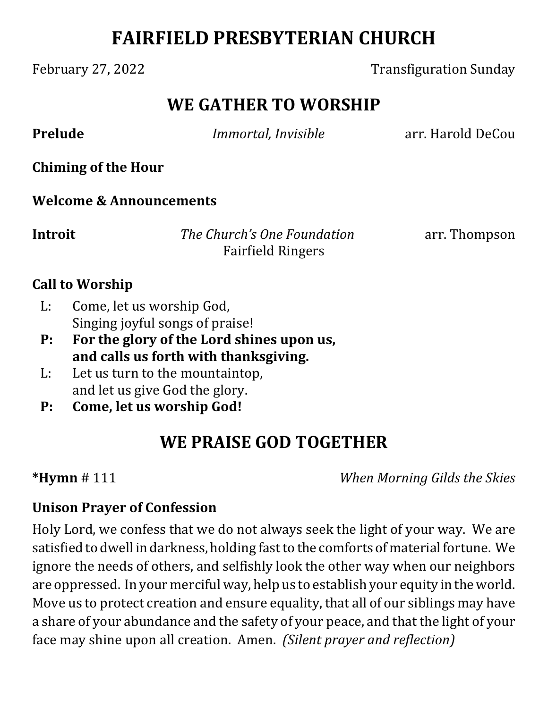# **FAIRFIELD PRESBYTERIAN CHURCH**

### February 27, 2022 **Transfiguration Sunday**

## **WE GATHER TO WORSHIP**

**Prelude** *<i>Immortal, Invisible* arr. Harold DeCou

**Chiming of the Hour**

**Welcome & Announcements**

**Introit** *The Church's One Foundation* arr. Thompson Fairfield Ringers

### **Call to Worship**

- L: Come, let us worship God, Singing joyful songs of praise!
- **P: For the glory of the Lord shines upon us, and calls us forth with thanksgiving.**
- L: Let us turn to the mountaintop, and let us give God the glory.
- **P: Come, let us worship God!**

# **WE PRAISE GOD TOGETHER**

**\*Hymn** # 111 *When Morning Gilds the Skies*

### **Unison Prayer of Confession**

Holy Lord, we confess that we do not always seek the light of your way. We are satisfied to dwell in darkness, holding fast to the comforts of material fortune. We ignore the needs of others, and selfishly look the other way when our neighbors are oppressed. In your merciful way, help us to establish your equity in the world. Move us to protect creation and ensure equality, that all of our siblings may have a share of your abundance and the safety of your peace, and that the light of your face may shine upon all creation. Amen. *(Silent prayer and reflection)*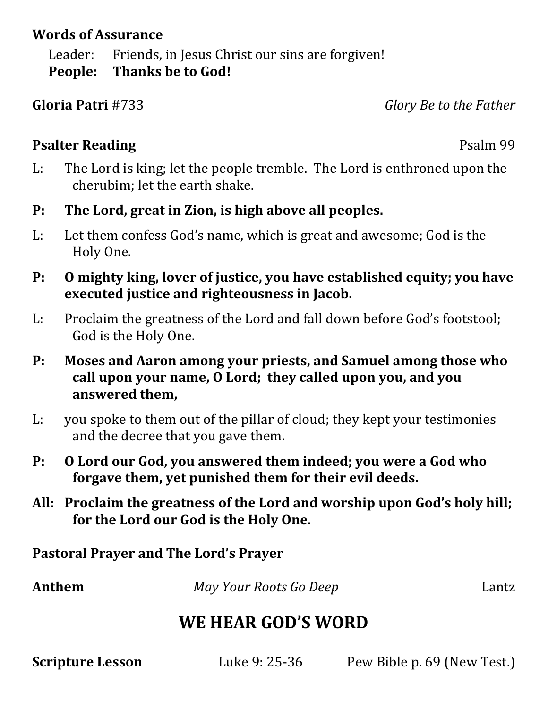#### **Words of Assurance**

Leader: Friends, in Jesus Christ our sins are forgiven! **People: Thanks be to God!**

**Gloria Patri** #733 *Glory Be to the Father*

### **Psalter Reading** Psalm 99

- L: The Lord is king; let the people tremble. The Lord is enthroned upon the cherubim; let the earth shake.
- **P: The Lord, great in Zion, is high above all peoples.**
- L: Let them confess God's name, which is great and awesome; God is the Holy One.
- **P: O mighty king, lover of justice, you have established equity; you have executed justice and righteousness in Jacob.**
- L: Proclaim the greatness of the Lord and fall down before God's footstool; God is the Holy One.
- **P: Moses and Aaron among your priests, and Samuel among those who call upon your name, O Lord; they called upon you, and you answered them,**
- L: you spoke to them out of the pillar of cloud; they kept your testimonies and the decree that you gave them.
- **P: O Lord our God, you answered them indeed; you were a God who forgave them, yet punished them for their evil deeds.**
- **All: Proclaim the greatness of the Lord and worship upon God's holy hill; for the Lord our God is the Holy One.**

**Pastoral Prayer and The Lord's Prayer**

Anthem *May Your Roots Go Deep* Lantz

# **WE HEAR GOD'S WORD**

**Scripture Lesson Luke 9: 25-36** Pew Bible p. 69 (New Test.)